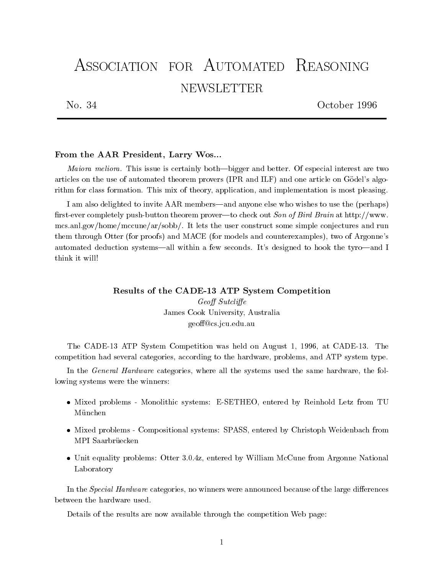# ASSOCIATION FOR AUTOMATED REASONING **NEWSLETTER**

No. 34

October 1996

# From the AAR President, Larry Wos...

Maiora meliora. This issue is certainly both—bigger and better. Of especial interest are two articles on the use of automated theorem provers (IPR and ILF) and one article on Gödel's algorithm for class formation. This mix of theory, application, and implementation is most pleasing.

I am also delighted to invite AAR members—and anyone else who wishes to use the (perhaps) first-ever completely push-button theorem prover—to check out Son of Bird Brain at http://www. mcs.anl.gov/home/mccune/ar/sobb/. It lets the user construct some simple conjectures and run them through Otter (for proofs) and MACE (for models and counterexamples), two of Argonne's automated deduction systems—all within a few seconds. It's designed to hook the tyro—and I think it will!

# Results of the CADE-13 ATP System Competition Geoff Sutcliffe James Cook University, Australia geo@cs.jcu.edu.au

The CADE-13 ATP System Competition was held on August 1, 1996, at CADE-13. The competition had several categories, according to the hardware, problems, and ATP system type.

In the General Hardware categories, where all the systems used the same hardware, the following systems were the winners:

- $\bullet$  Mixed problems Monolithic systems: E-SETHEO, entered by Reinhold Letz from TU München
- $\bullet$  Mixed problems Compositional systems: SPASS, entered by Christoph Weidenbach from
- $\bullet$  Unit equality problems: Otter 3.0.4z, entered by William McCune from Argonne National Laboratory

In the Special Hardware categories, no winners were announced because of the large differences

Details of the results are now available through the competition Web page: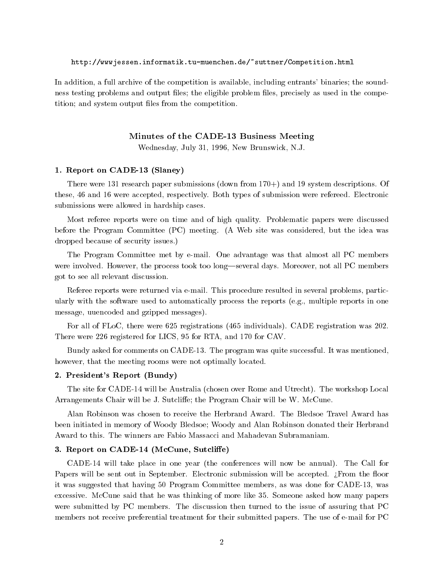#### http://wwwjessen.informatik.tu-muenchen.de/~suttner/Competition.html

In addition, a full archive of the competition is available, including entrants' binaries; the soundness testing problems and output files; the eligible problem files, precisely as used in the competition; and system output files from the competition.

## Minutes of the CADE-13 Business Meeting

Wednesday, July 31, 1996, New Brunswick, N.J.

## 1. Report on CADE-13 (Slaney)

There were 131 research paper submissions (down from 170+) and 19 system descriptions. Of these, 46 and 16 were accepted, respectively. Both types of submission were refereed. Electronic submissions were allowed in hardship cases.

Most referee reports were on time and of high quality. Problematic papers were discussed before the Program Committee (PC) meeting. (A Web site was considered, but the idea was dropped because of security issues.)

The Program Committee met by e-mail. One advantage was that almost all PC members were involved. However, the process took too long—several days. Moreover, not all PC members got to see all relevant discussion.

Referee reports were returned via e-mail. This procedure resulted in several problems, particularly with the software used to automatically process the reports (e.g., multiple reports in one message, uuencoded and gzipped messages).

For all of FLoC, there were 625 registrations (465 individuals). CADE registration was 202. There were 226 registered for LICS, 95 for RTA, and 170 for CAV.

Bundy asked for comments on CADE-13. The program was quite successful. It was mentioned, however, that the meeting rooms were not optimally located.

# 2. President's Report (Bundy)

The site for CADE-14 will be Australia (chosen over Rome and Utrecht). The workshop Local Arrangements Chair will be J. Sutcliffe; the Program Chair will be W. McCune.

Alan Robinson was chosen to receive the Herbrand Award. The Bledsoe Travel Award has been initiated in memory of Woody Bledsoe; Woody and Alan Robinson donated their Herbrand Award to this. The winners are Fabio Massacci and Mahadevan Subramaniam.

#### 3. Report on CADE-14 (McCune, Sutcliffe)

CADE-14 will take place in one year (the conferences will now be annual). The Call for Papers will be sent out in September. Electronic submission will be accepted. ¿From the floor it was suggested that having 50 Program Committee members, as was done for CADE-13, was excessive. McCune said that he was thinking of more like 35. Someone asked how many papers were submitted by PC members. The discussion then turned to the issue of assuring that PC members not receive preferential treatment for their submitted papers. The use of e-mail for PC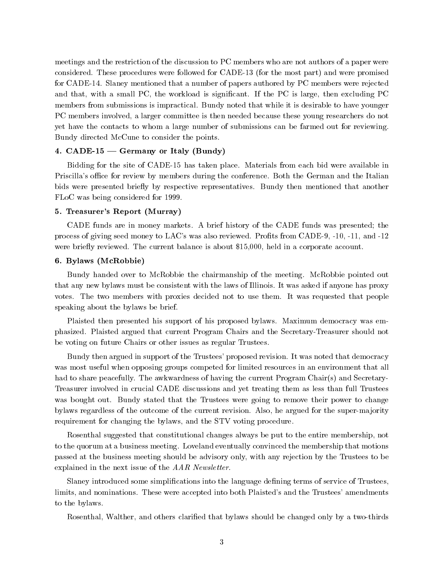meetings and the restriction of the discussion to PC members who are not authors of a paper were considered. These procedures were followed for CADE-13 (for the most part) and were promised for CADE-14. Slaney mentioned that a number of papers authored by PC members were rejected and that, with a small PC, the workload is signicant. If the PC is large, then excluding PC members from submissions is impractical. Bundy noted that while it is desirable to have younger PC members involved, a larger committee is then needed because these young researchers do not yet have the contacts to whom a large number of submissions can be farmed out for reviewing. Bundy directed McCune to consider the points.

# 4.  $CADE-15$  – Germany or Italy (Bundy)

Bidding for the site of CADE-15 has taken place. Materials from each bid were available in Priscilla's office for review by members during the conference. Both the German and the Italian bids were presented briefly by respective representatives. Bundy then mentioned that another FLoC was being considered for 1999.

# 5. Treasurer's Report (Murray)

CADE funds are in money markets. A brief history of the CADE funds was presented; the process of giving seed money to LAC's was also reviewed. Prots from CADE-9, -10, -11, and -12 were briefly reviewed. The current balance is about \$15,000, held in a corporate account.

#### 6. Bylaws (McRobbie)

Bundy handed over to McRobbie the chairmanship of the meeting. McRobbie pointed out that any new bylaws must be consistent with the laws of Illinois. It was asked if anyone has proxy votes. The two members with proxies decided not to use them. It was requested that people speaking about the bylaws be brief.

Plaisted then presented his support of his proposed bylaws. Maximum democracy was emphasized. Plaisted argued that current Program Chairsand the Secretary-Treasurer should not be voting on future Chairs or other issues as regular Trustees.

Bundy then argued in support of the Trustees' proposed revision. It was noted that democracy was most useful when opposing groups competed for limited resources in an environment that all had to share peacefully. The awkwardness of having the current Program Chair(s) and Secretary-Treasurer involved in crucial CADE discussions and yet treating them as less than full Trustees was bought out. Bundy stated that the Trustees were going to remove their power to change bylaws regardless of the outcome of the current revision. Also, he argued for the super-majority requirement for changing the bylaws, and the STV voting procedure.

Rosenthal suggested that constitutional changes always be put to the entire membership, not to the quorum at a business meeting. Loveland eventually convinced the membership that motions passed at the business meeting should be advisory only, with any rejection by the Trustees to be explained in the next issue of the AAR Newsletter.

Slaney introduced some simplications into the language dening terms of service of Trustees, limits, and nominations. These were accepted into both Plaisted's and the Trustees' amendments to the bylaws.

Rosenthal, Walther, and others clarified that bylaws should be changed only by a two-thirds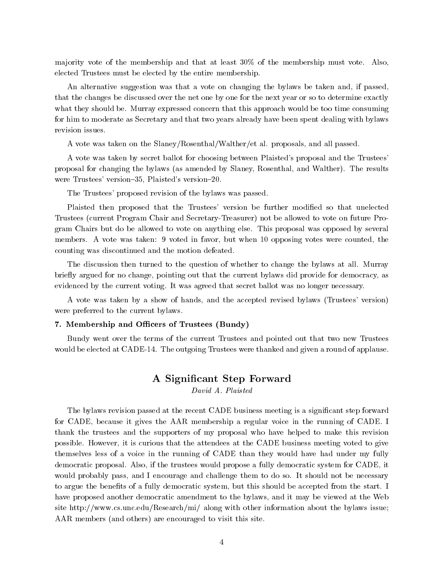ma jority vote of the membership and that at least 30% of the membership must vote. Also, elected Trustees must be elected by the entire membership.

An alternative suggestion was that a vote on changing the bylaws be taken and, if passed, that the changes be discussed over the net one by one for the next year or so to determine exactly what they should be. Murray expressed concern that this approach would be too time consuming for him to moderate as Secretary and that two years already have been spent dealing with bylaws revision issues.

A vote was taken on the Slaney/Rosenthal/Walther/et al. proposals, and all passed.

A vote was taken by secret ballot for choosing between Plaisted's proposal and the Trustees' proposal for changing the bylaws (as amended by Slaney, Rosenthal, and Walther). The results were Trustees' version-35, Plaisted's version-20.

The Trustees' proposed revision of the bylaws was passed.

Plaisted then proposed that the Trustees' version be further modified so that unelected Trustees (current Program Chair and Secretary-Treasurer) not be allowed to vote on future Program Chairs but do be allowed to vote on anything else. This proposal was opposed by several members. A vote was taken: 9 voted in favor, but when 10 opposing votes were counted, the counting was discontinued and the motion defeated.

The discussion then turned to the question of whether to change the bylaws at all. Murray briefly argued for no change, pointing out that the current bylaws did provide for democracy, as evidenced by the current voting. It was agreed that secret ballot was no longer necessary.

A vote was taken by a show of hands, and the accepted revised bylaws (Trustees' version) were preferred to the current bylaws.

#### 7. Membership and Officers of Trustees (Bundy)

Bundy went over the terms of the current Trustees and pointed out that two new Trustees would be elected at CADE-14. The outgoing Trustees were thanked and given a round of applause.

# A Signicant Step Forward

David A. Plaisted

The bylaws revision passed at the recent CADE business meeting is a significant step forward for CADE, because it gives the AAR membership a regular voice in the running of CADE. I thank the trustees and the supporters of my proposal who have helped to make this revision possible. However, it is curious that the attendees at the CADE business meeting voted to give themselves less of a voice in the running of CADE than they would have had under my fully democratic proposal. Also, if the trustees would propose a fully democratic system for CADE, it would probably pass, and I encourage and challenge them to do so. It should not be necessary to argue the benefits of a fully democratic system, but this should be accepted from the start. I have proposed another democratic amendment to the bylaws, and it may be viewed at the Web site http://www.cs.unc.edu/Research/mi/ along with other information about the bylaws issue; AAR members (and others) are encouraged to visit this site.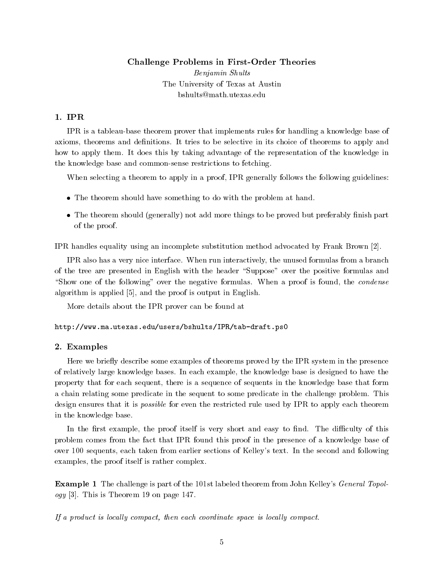# Challenge Problems in First-Order Theories

Benjamin Shults The University of Texas at Austin bshults@math.utexas.edu

# $1.$  IPR

IPR is a tableau-base theorem prover that implements rules for handling a knowledge base of axioms, theorems and definitions. It tries to be selective in its choice of theorems to apply and how to apply them. It does this by taking advantage of the representation of the knowledge in the knowledge base and common-sense restrictions to fetching.

When selecting a theorem to apply in a proof, IPR generally follows the following guidelines:

- $\bullet$  The theorem should have something to do with the problem at hand.
- $\bullet$  The theorem should (generally) not add more things to be proved but preferably finish part  $\bullet$ of the proof.

IPR handles equality using an incomplete substitution method advocated by Frank Brown [2].

IPR also has a very nice interface. When run interactively, the unused formulas from a branch of the tree are presented in English with the header "Suppose" over the positive formulas and "Show one of the following" over the negative formulas. When a proof is found, the *condense* algorithm is applied [5], and the proof is output in English.

More details about the IPR prover can be found at

http://www.ma.utexas.edu/users/bshults/IPR/tab-draft.ps0

# 2. Examples

Here we briefly describe some examples of theorems proved by the IPR system in the presence of relatively large knowledge bases. In each example, the knowledge base is designed to have the property that for each sequent, there is a sequence of sequents in the knowledge base that form a chain relating some predicate in the sequent to some predicate in the challenge problem. This design ensures that it is *possible* for even the restricted rule used by IPR to apply each theorem in the knowledge base.

In the first example, the proof itself is very short and easy to find. The difficulty of this problem comes from the fact that IPR found this proof in the presence of a knowledge base of over 100 sequents, each taken from earlier sections of Kelley's text. In the second and following examples, the proof itself is rather complex.

Example 1 The challenge is part of the 101st labeled theorem from John Kelley's General Topol $qqq$  [3]. This is Theorem 19 on page 147.

If a product is locally compact, then each coordinate space is locally compact.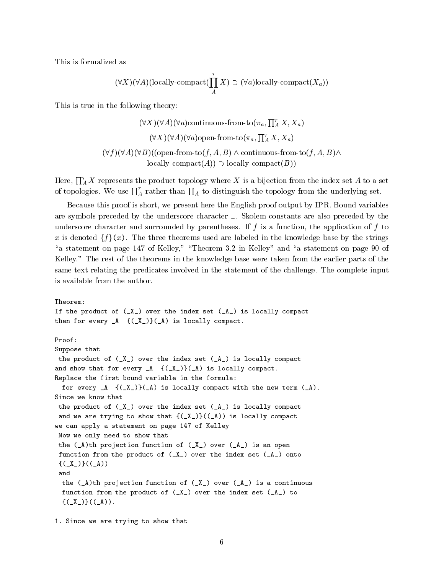This is formalized as

$$
(\forall X)(\forall A)(\text{locally-compact}(\prod_{A}^{T} X) \supset (\forall a)\text{locally-compact}(X_a))
$$

This is true in the following theory:

$$
(\forall X)(\forall A)(\forall a) \text{continuous-from-to}(\pi_a, \prod_A^{\tau} X, X_a)
$$

$$
(\forall X)(\forall A)(\forall a) \text{open-from-to}(\pi_a, \prod_A^{\tau} X, X_a)
$$

$$
(\forall f)(\forall A)(\forall B)((\text{open-from-to}(f, A, B) \land \text{continuous-from-to}(f, A, B) \land \text{locally-compact}(B))
$$

Here,  $\prod_{A}^{r} X$  represents the product topology where X is a bijection from the index set A to a set of topologies. We use  $\prod_A^{\tau}$  rather than  $\prod_A$  to distinguish the topology from the underlying set.

Because this proof is short, we present here the English proof output by IPR. Bound variables are symbols preceded by the underscore character \_. Skolem constants are also preceded by the underscore character and surrounded by parentheses. If  $f$  is a function, the application of  $f$  to x is denoted  $\{f\}(x)$ . The three theorems used are labeled in the knowledge base by the strings "a statement on page 147 of Kelley," "Theorem 3.2 in Kelley" and "a statement on page 90 of Kelley." The rest of the theorems in the knowledge base were taken from the earlier parts of the same text relating the predicates involved in the statement of the challenge. The complete input is available from the author.

```
Theorem:
If the product of (X_1) over the index set (A_1) is locally compact
then for every A \{(X_{-})\}(A) is locally compact.
Proof:
Suppose that
the product of (X_+) over the index set (A_+) is locally compact
and show that for every A \{(X_\_)\} (A) is locally compact.
Replace the first bound variable in the formula:
 for every A \{(X_{-})\} (A) is locally compact with the new term (A).
Since we know that
the product of (X_+) over the index set (A_+) is locally compact
 and we are trying to show that {((\_\text{X}))((\_\text{A}))} is locally compact
we can apply a statement on page 147 of Kelley
Now we only need to show that
 the (\_A)th projection function of (\_X\_) over (\_A\_) is an open
function from the product of (_X_) over the index set (_A_) onto
 \{(\chi)\}((A))the (\_A)th projection function of (\_X\_) over (\_A\_) is a continuous
 function from the product of (X_+) over the index set (A_+) to
  \{(\_X_*)\}((\_A)).
```
1. Since we are trying to show that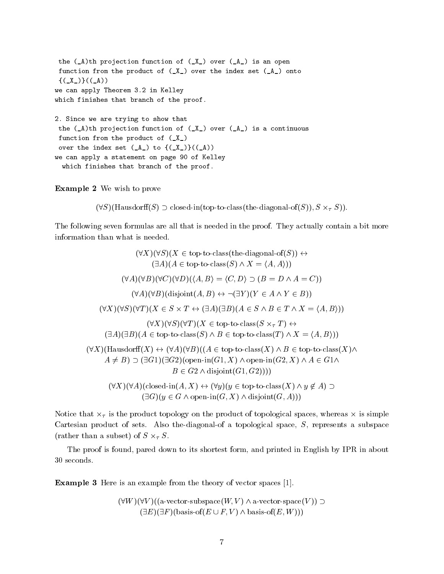the  $(\_A)$ th projection function of  $(\_X\_)$  over  $(\_A\_)$  is an open function from the product of  $(X_+)$  over the index set  $(A_+)$  onto  $\{(\_X_{{}_{-}})\}(\_A))$ we can apply Theorem 3.2 in Kelley which finishes that branch of the proof. 2. Since we are trying to show that the  $(\_A)$ th projection function of  $(\_X\_)$  over  $(\_A\_)$  is a continuous function from the product of (\_X\_) over the index set  $(\_A)$  to  ${(\_X_{{\mathbb C}})}({(\_A)})$ we can apply a statement on page 90 of Kelley which finishes that branch of the proof.

#### Example 2 We wish to prove

 $(\forall S)(\text{Hausdorff}(S) \supset \text{closed-in}(\text{top-to-class}(\text{the-diagonal-of}(S)), S \times_\tau S)).$ 

The following seven formulas are all that is needed in the proof. They actually contain a bit more information than what is needed.

 $(\forall X)(\forall S)(X \in \text{top-to-class}(the-diagonal-of(S))) \leftrightarrow$  $(\exists A)(A \in \text{top-to-class}(S) \land X = \langle A, A \rangle)$  $(\forall A)(\forall B)(\forall C)(\forall D)(\langle A,B \rangle = \langle C,D \rangle \supset (B = D \land A = C))$  $(\forall A)(\forall B)(\text{disjoint}(A, B) \leftrightarrow \neg(\exists Y)(Y \in A \land Y \in B))$  $(\forall X)(\forall S)(\forall T)(X \in S \times T \leftrightarrow (\exists A)(\exists B)(A \in S \land B \in T \land X = \langle A, B \rangle))$  $(\forall X)(\forall S)(\forall T)(X \in \text{top-to-class}(S \times_{\tau} T) \leftrightarrow$  $(\exists A)(\exists B)(A \in \text{top-to-class}(S) \land B \in \text{top-to-class}(T) \land X = \langle A, B \rangle)$  $(\forall X)(\text{Hausdorff}(X) \leftrightarrow (\forall A)(\forall B)((A \in \text{top-to-class}(X) \land B \in \text{top-to-class}(X)) \land$  $A \neq B$ )  $\supset$  ( $\exists G1$ )( $\exists G2$ )(open-in(G1, X)  $\wedge$  open-in(G2, X)  $\wedge$  A  $\in$  G1 $\wedge$  $B \in G2 \wedge \text{disjoint}(G1, G2)))$  $(\forall X)(\forall A)(\text{closed-in}(A, X) \leftrightarrow (\forall y)(y \in \text{top-to-class}(X) \land y \notin A) \supset$  $(\exists G)(y \in G \land \text{open-in}(G, X) \land \text{disjoint}(G, A)))$ 

Notice that  $\overline{\mathsf{x}}_{\tau}$  is the product topology on the product of topological spaces, whereas  $\overline{\mathsf{x}}$  is simple Cartesian product of sets. Also the-diagonal-of a topological space, S, represents a subspace (rather than a subset) of  $S \times_{\tau} S$ .

The proof is found, pared down to its shortest form, and printed in English by IPR in about 30 seconds.

Example 3 Here is an example from the theory of vector spaces [1].

 $(\forall W)(\forall V)((a\text{-vector-subspace}(W, V) \wedge a\text{-vector-space}(V)) \supset$  $(\exists E)(\exists F)(\text{basis-of}(E \cup F, V) \land \text{basis-of}(E, W)))$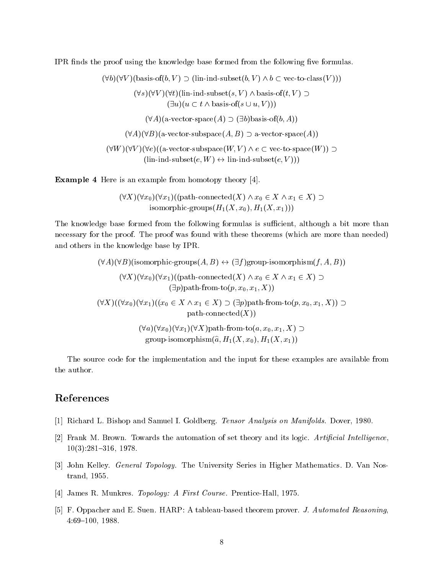IPR finds the proof using the knowledge base formed from the following five formulas.

 $(\forall b)(\forall V)(\text{basis-of}(b, V) \supset (\text{lin-ind-subset}(b, V) \wedge b \subset \text{vec-to-class}(V)))$  $(\forall s)(\forall V)(\forall t)$ (lin-ind-subset $(s, V) \wedge$  basis-of $(t, V) \supset$  $(\exists u)(u \subset t \land basis-of(s \cup u, V)))$  $(\forall A)(a\text{-vector-space}(A) \supset (\exists b)$ basis-of $(b, A))$  $(\forall A)(\forall B)$ (a-vector-subspace $(A, B) \supset$ a-vector-space $(A)$ )  $(\forall W)(\forall V)(\forall e)((a\text{-vector-subspace}(W, V) \land e \subset \text{vec-to-space}(W)) \supset$  $(\text{lin-ind-subset}(e, W) \leftrightarrow \text{lin-ind-subset}(e, V))$ 

Example 4 Here is an example from homotopy theory [4].

 $(\forall X)(\forall x_0)(\forall x_1)((\text{path-connected}(X) \land x_0 \in X \land x_1 \in X) \supset$ isomorphic-groups $(H_1(X, x_0), H_1(X, x_1)))$ 

The knowledge base formed from the following formulas is sufficient, although a bit more than necessary for the proof. The proof was found with these theorems (which are more than needed) and others in the knowledge base by IPR.

> $(\forall A)(\forall B)$ (isomorphic-groups $(A, B) \leftrightarrow (\exists f)$ group-isomorphism $(f, A, B)$ )  $(\forall X)(\forall x_0)(\forall x_1)((\text{path-connected}(X) \land x_0 \in X \land x_1 \in X) \supset$  $(\exists p)$ path-from-to $(p, x_0, x_1, X)$  $(\forall X)((\forall x_0)(\forall x_1)((x_0 \in X \land x_1 \in X) \supset (\exists p)$ path-from-to $(p, x_0, x_1, X)) \supset$  $path-connected(X)$  $(\forall a)(\forall x_0)(\forall x_1)(\forall X)$ path-from-to $(a, x_0, x_1, X) \supset$ group-isomorphism(a; Hb 1(X; x0); H1(X; x1 ))

The source code for the implementation and the input for these examples are available from the author.

# References

- [1] Richard L. Bishop and Samuel I. Goldberg. Tensor Analysis on Manifolds. Dover, 1980.
- [2] Frank M. Brown. Towards the automation of set theory and its logic. Artificial Intelligence,  $10(3):281{-}316, 1978.$
- [3] John Kelley. General Topology. The University Series in Higher Mathematics. D. Van Nostrand, 1955.
- [4] James R. Munkres. Topology: A First Course. Prentice-Hall, 1975.
- [5] F. Oppacher and E. Suen. HARP: A tableau-based theorem prover. J. Automated Reasoning, 4:69-100, 1988.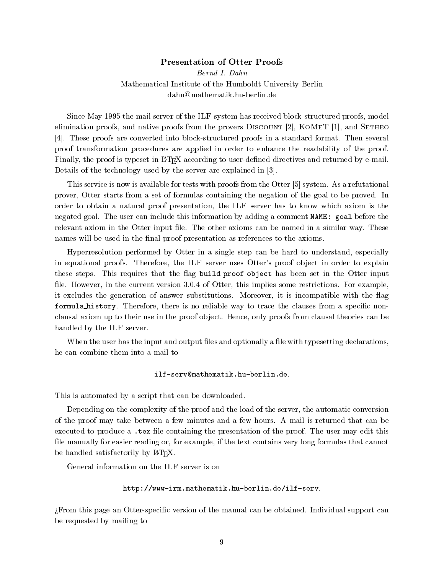# Presentation of Otter Proofs

Bernd I. Dahn Mathematical Institute of the Humboldt University Berlin dahn@mathematik.hu-berlin.de

Since May 1995 the mail server of the ILF system has received block-structured proofs, model elimination proofs, and native proofs from the provers DISCOUNT  $[2]$ , KOMET  $[1]$ , and SETHEO [4]. These proofs are converted into block-structured proofs in a standard format. Then several proof transformation procedures are applied in order to enhance the readability of the proof. Finally, the proof is typeset in LAT<sub>EX</sub> according to user-defined directives and returned by  $\epsilon$ -mail. Details of the technology used by the server are explained in [3].

This service is now is available for tests with proofs from the Otter [5] system. As a refutational prover, Otter starts from a set of formulas containing the negation of the goal to be proved. In order to obtain a natural proof presentation, the ILF server has to know which axiom is the negated goal. The user can include this information by adding a comment NAME: goal before the relevant axiom in the Otter input file. The other axioms can be named in a similar way. These names will be used in the final proof presentation as references to the axioms.

Hyperresolution performed by Otter in a single step can be hard to understand, especially in equational proofs. Therefore, the ILF server uses Otter's proof object in order to explain these steps. This requires that the flag build proof object has been set in the Otter input file. However, in the current version 3.0.4 of Otter, this implies some restrictions. For example, it excludes the generation of answer substitutions. Moreover, it is incompatible with the ag formula history. Therefore, there is no reliable way to trace the clauses from a specific nonclausal axiom up to their use in the proof object. Hence, only proofs from clausal theories can be handled by the ILF server.

When the user has the input and output files and optionally a file with type setting declarations, he can combine them into a mail to

#### ilf-serv@mathematik.hu-berlin.de.

This is automated by a script that can be downloaded.

Depending on the complexity of the proof and the load of the server, the automatic conversion of the proof may take between a few minutes and a few hours. A mail is returned that can be executed to produce a .tex file containing the presentation of the proof. The user may edit this file manually for easier reading or, for example, if the text contains very long formulas that cannot be handled satisfactorily by LAT<sub>E</sub>X.

General information on the ILF server is on

http://www-irm.mathematik.hu-berlin.de/ilf-serv.

>From this page an Otter-specic version of the manual can be obtained. Individual support can be requested by mailing to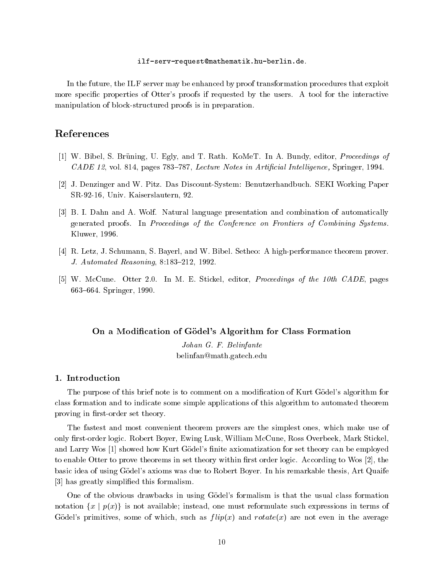#### ilf-serv-request@mathematik.hu-berlin.de.

In the future, the ILF server may be enhanced by proof transformation procedures that exploit more specic properties of Otter's proofs if requested by the users. A tool for the interactive manipulation of block-structured proofs is in preparation.

# References

- [1] W. Bibel, S. Bruning, U. Egly, and T. Rath. KoMeT. In A. Bundy, editor, Proceedings of CADE 12, vol. 814, pages 783-787, Lecture Notes in Artificial Intelligence, Springer, 1994.
- [2] J. Denzinger and W. Pitz. Das Discount-System: Benutzerhandbuch. SEKI Working Paper SR-92-16, Univ. Kaiserslautern, 92.
- [3] B. I. Dahn and A. Wolf. Natural language presentation and combination of automatically generated proofs. In Proceedings of the Conference on Frontiers of Combining Systems. Kluwer, 1996.
- [4] R. Letz, J. Schumann, S. Bayerl, and W. Bibel. Setheo: A high-performance theorem prover. J. Automated Reasoning, 8:183-212, 1992.
- [5] W. McCune. Otter 2.0. In M. E. Stickel, editor, Proceedings of the 10th CADE, pages 663-664. Springer, 1990.

## On a Modication of Godel's Algorithm for Class Formation

Johan G. F. Belinfante belinfan@math.gatech.edu

# 1. Introduction

The purpose of this brief note is to comment on a modification of Kurt Gödel's algorithm for class formation and to indicate some simple applications of this algorithm to automated theorem proving in first-order set theory.

The fastest and most convenient theorem provers are the simplest ones, which make use of only first-order logic. Robert Boyer, Ewing Lusk, William McCune, Ross Overbeek, Mark Stickel, and Larry Wos [1] showed how Kurt Gödel's finite axiomatization for set theory can be employed to enable Otter to prove theorems in set theory within first order logic. According to Wos  $[2]$ , the basic idea of using Godel's axioms was due to Robert Boyer. In his remarkable thesis, Art Quaife [3] has greatly simplied this formalism.

One of the obvious drawbacks in using Godel's formalism is that the usual class formation notation  $\{x \mid p(x)\}\$ is not available; instead, one must reformulate such expressions in terms of Gödel's primitives, some of which, such as  $flip(x)$  and  $rotate(x)$  are not even in the average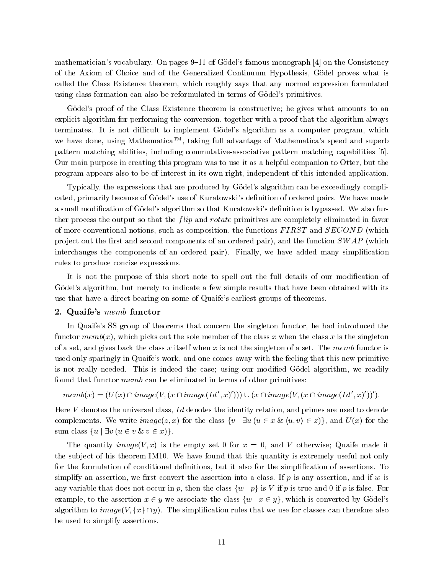mathematician's vocabulary. On pages 9-11 of Gödel's famous monograph [4] on the Consistency of the Axiom of Choice and of the Generalized Continuum Hypothesis, Godel proves what is called the Class Existence theorem, which roughly says that any normal expression formulated using class formation can also be reformulated in terms of Godel's primitives.

Gödel's proof of the Class Existence theorem is constructive; he gives what amounts to an explicit algorithm for performing the conversion, together with a proof that the algorithm always terminates. It is not difficult to implement Gödel's algorithm as a computer program, which we have done, using Mathematica<sup>TM</sup>, taking full advantage of Mathematica's speed and superb pattern matching abilities, including commutative-associative pattern matching capabilities [5]. Our main purpose in creating this program was to use it as a helpful companion to Otter, but the program appears also to be of interest in its own right, independent of this intended application.

Typically, the expressions that are produced by Gödel's algorithm can be exceedingly complicated, primarily because of Gödel's use of Kuratowski's definition of ordered pairs. We have made a small modification of Gödel's algorithm so that Kuratowski's definition is bypassed. We also further process the output so that the *flip* and *rotate* primitives are completely eliminated in favor of more conventional notions, such as composition, the functions FIRST and SECOND (which project out the first and second components of an ordered pair), and the function  $SWAP$  (which interchanges the components of an ordered pair). Finally, we have added many simplication rules to produce concise expressions.

It is not the purpose of this short note to spell out the full details of our modication of Gödel's algorithm, but merely to indicate a few simple results that have been obtained with its use that have a direct bearing on some of Quaife's earliest groups of theorems.

# 2. Quaife's memb functor

In Quaife's SS group of theorems that concern the singleton functor, he had introduced the functor  $memb(x)$ , which picks out the sole member of the class x when the class x is the singleton of a set, and gives back the class x itself when x is not the singleton of a set. The memb functor is used only sparingly in Quaife's work, and one comes away with the feeling that this new primitive is not really needed. This is indeed the case; using our modified Godel algorithm, we readily found that functor memb can be eliminated in terms of other primitives:

$$
memb(x) = (U(x) \cap image(V, (x \cap image(Id', x')))) \cup (x \cap image(V, (x \cap image(Id', x'))')).
$$

Here  $V$  denotes the universal class,  $Id$  denotes the identity relation, and primes are used to denote complements. We write  $image(z, x)$  for the class  $\{v \mid \exists u (u \in x \& \langle u, v \rangle \in z) \}$ , and  $U(x)$  for the sum class  $\{u \mid \exists v (u \in v \& v \in x)\}.$ 

The quantity image  $(V, x)$  is the empty set 0 for  $x = 0$ , and V otherwise; Quaife made it the sub ject of his theorem IM10. We have found that this quantity is extremely useful not only for the formulation of conditional definitions, but it also for the simplification of assertions. To simplify an assertion, we first convert the assertion into a class. If  $p$  is any assertion, and if  $w$  is any variable that does not occur in p, then the class  $\{w \mid p\}$  is V if p is true and 0 if p is false. For example, to the assertion  $x \in y$  we associate the class  $\{w \mid x \in y\}$ , which is converted by Gödel's algorithm to  $image(V, \{x\} \cap y)$ . The simplification rules that we use for classes can therefore also be used to simplify assertions.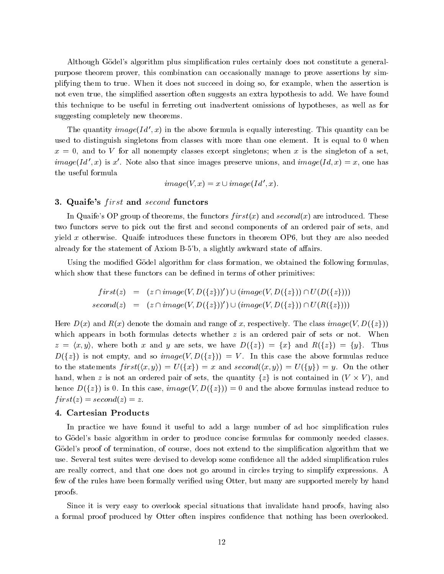Although Gödel's algorithm plus simplification rules certainly does not constitute a generalpurpose theorem prover, this combination can occasionally manage to prove assertions by simplifying them to true. When it does not succeed in doing so, for example, when the assertion is not even true, the simplied assertion often suggests an extra hypothesis to add. We have found this technique to be useful in ferreting out inadvertent omissions of hypotheses, as well as for suggesting completely new theorems.

The quantity  $image(Id', x)$  in the above formula is equally interesting. This quantity can be used to distinguish singletons from classes with more than one element. It is equal to 0 when  $x = 0$ , and to V for all nonempty classes except singletons; when x is the singleton of a set, *image*(Id', x) is x'. Note also that since images preserve unions, and *image*(Id, x) = x, one has the useful formula

$$
image(V, x) = x \cup image(Id', x).
$$

# 3. Quaife's *first* and *second* functors

In Quaife's OP group of theorems, the functors  $first(x)$  and  $second(x)$  are introduced. These two functors serve to pick out the first and second components of an ordered pair of sets, and yield x otherwise. Quaife introduces these functors in theorem  $OP6$ , but they are also needed already for the statement of Axiom B-5'b, a slightly awkward state of affairs.

Using the modified Gödel algorithm for class formation, we obtained the following formulas, which show that these functors can be defined in terms of other primitives:

$$
first(z) = (z \cap image(V, D(\lbrace z \rbrace))') \cup (image(V, D(\lbrace z \rbrace)) \cap U(D(\lbrace z \rbrace)))
$$
  

$$
second(z) = (z \cap image(V, D(\lbrace z \rbrace))') \cup (image(V, D(\lbrace z \rbrace)) \cap U(R(\lbrace z \rbrace)))
$$

Here  $D(x)$  and  $R(x)$  denote the domain and range of x, respectively. The class image(V,  $D({z})$ ) which appears in both formulas detects whether z is an ordered pair of sets or not. When  $z = \langle x, y \rangle$ , where both x and y are sets, we have  $D(\{z\}) = \{x\}$  and  $R(\{z\}) = \{y\}$ . Thus  $D({z})$  is not empty, and so *image*(V,  $D({z})$ ) = V. In this case the above formulas reduce to the statements  $first(\langle x, y \rangle) = U(\lbrace x \rbrace) = x$  and  $second(\langle x, y \rangle) = U(\lbrace y \rbrace) = y$ . On the other hand, when z is not an ordered pair of sets, the quantity  $\{z\}$  is not contained in  $(V \times V)$ , and hence  $D({z})$  is 0. In this case,  $image(V, D({z})) = 0$  and the above formulas instead reduce to  $first(z) = second(z) = z.$ 

#### 4. Cartesian Products

In practice we have found it useful to add a large number of ad hoc simplication rules to Gödel's basic algorithm in order to produce concise formulas for commonly needed classes. Gödel's proof of termination, of course, does not extend to the simplification algorithm that we use. Several test suites were devised to develop some confidence all the added simplification rules are really correct, and that one does not go around in circles trying to simplify expressions. A few of the rules have been formally veried using Otter, but many are supported merely by hand proofs.

Since it is very easy to overlook special situations that invalidate hand proofs, having also a formal proof produced by Otter often inspires condence that nothing has been overlooked.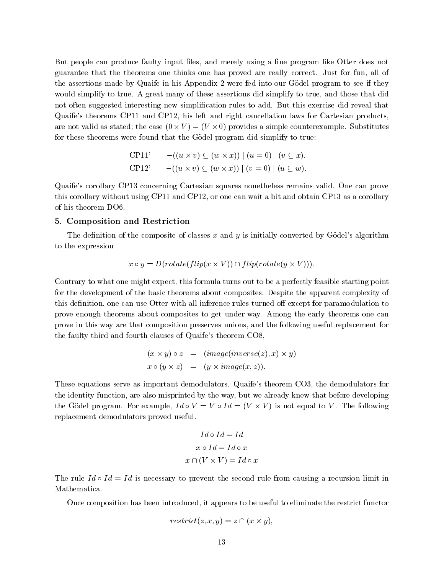But people can produce faulty input files, and merely using a fine program like Otter does not guarantee that the theorems one thinks one has proved are really correct. Just for fun, all of the assertions made by Quaife in his Appendix 2 were fed into our Godel program to see if they would simplify to true. A great many of these assertions did simplify to true, and those that did not often suggested interesting new simplication rules to add. But this exercise did reveal that Quaife's theorems CP11 and CP12, his left and right cancellation laws for Cartesian products, are not valid as stated; the case ( $0 \times V$ )  $= (V \times 0)$  provides a simple counterexample. Substitutes for these theorems were found that the Godel program did simplify to true:

$$
\text{CP11'} \qquad -((u \times v) \subseteq (w \times x)) \mid (u = 0) \mid (v \subseteq x).
$$
\n
$$
\text{CP12'} \qquad -((u \times v) \subseteq (w \times x)) \mid (v = 0) \mid (u \subseteq w).
$$

Quaife's corollary CP13 concerning Cartesian squares nonetheless remains valid. One can prove this corollary without using CP11 and CP12, or one can wait a bit and obtain CP13 as a corollary of his theorem DO6.

# 5. Composition and Restriction

The definition of the composite of classes  $x$  and  $y$  is initially converted by Gödel's algorithm to the expression

$$
x \circ y = D(rotate(flip(x \times V)) \cap flip(rotate(y \times V))).
$$

Contrary to what one might expect, this formula turns out to be a perfectly feasible starting point for the development of the basic theorems about composites. Despite the apparent complexity of this definition, one can use Otter with all inference rules turned off except for paramodulation to prove enough theorems about composites to get under way. Among the early theorems one can prove in this way are that composition preserves unions, and the following useful replacement for the faulty third and fourth clauses of Quaife's theorem CO8,

$$
(x \times y) \circ z = (image(inverse(z), x) \times y)
$$
  

$$
x \circ (y \times z) = (y \times image(x, z)).
$$

These equations serve as important demodulators. Quaife's theorem CO3, the demodulators for the identity function, are also misprinted by the way, but we already knew that before developing the Godel program. For example,  $Id \circ V = V \circ Id = (V \times V)$  is not equal to V. The following replacement demodulators proved useful.

$$
Id \circ Id = Id
$$
  

$$
x \circ Id = Id \circ x
$$
  

$$
x \cap (V \times V) = Id \circ x
$$

The rule  $Id \circ Id = Id$  is necessary to prevent the second rule from causing a recursion limit in Mathematica.

Once composition has been introduced, it appears to be useful to eliminate the restrict functor

$$
restrict(z, x, y) = z \cap (x \times y),
$$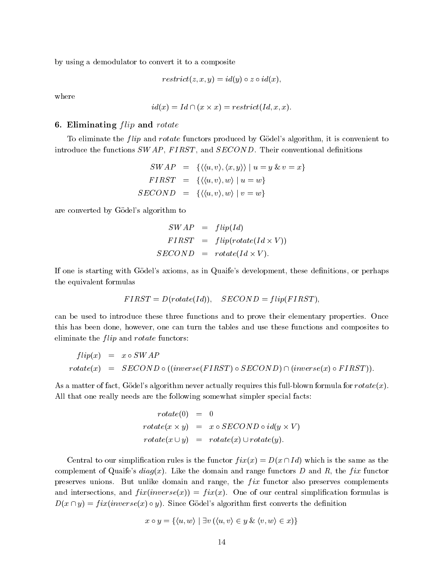by using a demodulator to convert it to a composite

$$
restrict(z, x, y) = id(y) \circ z \circ id(x),
$$

where

$$
id(x) = Id \cap (x \times x) = restrict(Id, x, x).
$$

# 6. Eliminating  $flip$  and  $rotate$

To eliminate the *flip* and *rotate* functors produced by Godel's algorithm, it is convenient to introduce the functions  $SWAP$ ,  $FIRST$ , and  $SECOND$ . Their conventional definitions

$$
SWAP = \{ \langle \langle u, v \rangle, \langle x, y \rangle \rangle \mid u = y \& v = x \}
$$
  

$$
FIRST = \{ \langle \langle u, v \rangle, w \rangle \mid u = w \}
$$
  

$$
SECOND = \{ \langle \langle u, v \rangle, w \rangle \mid v = w \}
$$

are converted by Godel's algorithm to

$$
SWAP = flip(Id)
$$
  
\n
$$
FIRST = flip(rotate(Id \times V))
$$
  
\n
$$
SECOND = rotate(Id \times V).
$$

If one is starting with Gödel's axioms, as in Quaife's development, these definitions, or perhaps the equivalent formulas

$$
FIRST = D(rotate(Id)), \quad SECOND = flip(FIRST),
$$

can be used to introduce these three functions and to prove their elementary properties. Once this has been done, however, one can turn the tables and use these functions and composites to eliminate the  $flip$  and  $rotate$  functors:

$$
flip(x) = x \circ SWAP
$$
  
\n
$$
rotate(x) = SECOND \circ ((inverse(FIRST) \circ SECOND) \cap (inverse(x) \circ FIRST)).
$$

As a matter of fact, Gödel's algorithm never actually requires this full-blown formula for  $rotate(x)$ . All that one really needs are the following somewhat simpler special facts:

$$
rotate(0) = 0
$$
  
\n
$$
rotate(x \times y) = x \circ SECOND \circ id(y \times V)
$$
  
\n
$$
rotate(x \cup y) = rotate(x) \cup rotate(y).
$$

Central to our simplification rules is the functor  $fix(x) = D(x \cap Id)$  which is the same as the complement of Quaife's  $diag(x)$ . Like the domain and range functors D and R, the fix functor preserves unions. But unlike domain and range, the  $fix$  functor also preserves complements and intersections, and  $fix(inverse(x)) = fix(x)$ . One of our central simplification formulas is  $D(x \cap y) = fix(inverse(x) \circ y)$ . Since Gödel's algorithm first converts the definition

$$
x \circ y = \{ \langle u, w \rangle \mid \exists v \ (\langle u, v \rangle \in y \ \& \ \langle v, w \rangle \in x) \}
$$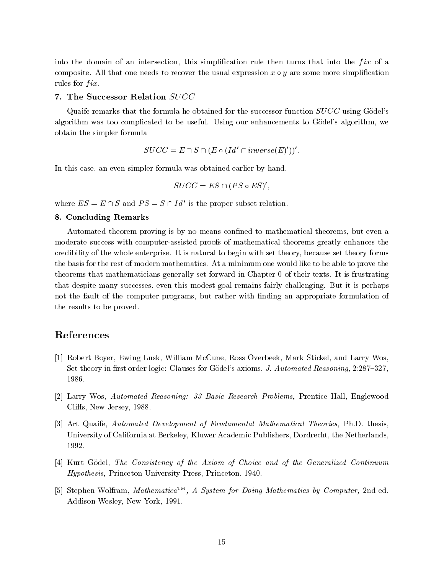into the domain of an intersection, this simplification rule then turns that into the  $fix$  of a composite. All that one needs to recover the usual expression  $x \circ y$  are some more simplification rules for  $fix.$ 

#### 7. The Successor Relation SUCC

Quaife remarks that the formula he obtained for the successor function  $SUCC$  using Godel's algorithm was too complicated to be useful. Using our enhancements to Godel's algorithm, we obtain the simpler formula

$$
SUCC = E \cap S \cap (E \circ (Id' \cap inverse(E)'))'.
$$

In this case, an even simpler formula was obtained earlier by hand,

$$
SUCC = ES \cap (PS \circ ES)'
$$

where  $ES = E \cap S$  and  $PS = S \cap Id'$  is the proper subset relation.

#### 8. Concluding Remarks

Automated theorem proving is by no means confined to mathematical theorems, but even a moderate success with computer-assisted proofs of mathematical theorems greatly enhances the credibility of the whole enterprise. It is natural to begin with set theory, because set theory forms the basis for the rest of modern mathematics. At a minimum one would like to be able to prove the theorems that mathematicians generally set forward in Chapter 0 of their texts. It is frustrating that despite many successes, even this modest goal remains fairly challenging. But it is perhaps not the fault of the computer programs, but rather with finding an appropriate formulation of the results to be proved.

# References

- [1] Robert Boyer, Ewing Lusk, William McCune, Ross Overbeek, Mark Stickel, and Larry Wos, Set theory in first order logic: Clauses for Gödel's axioms, *J. Automated Reasoning*,  $2.287{-}327$ , 1986.
- [2] Larry Wos, Automated Reasoning: 33 Basic Research Problems, Prentice Hall, Englewood Cliffs, New Jersey, 1988.
- [3] Art Quaife, Automated Development of Fundamental Mathematical Theories, Ph.D. thesis, University of California at Berkeley, Kluwer Academic Publishers, Dordrecht, the Netherlands, 1992.
- [4] Kurt Gödel, The Consistency of the Axiom of Choice and of the Generalized Continuum Hypothesis, Princeton University Press, Princeton, 1940.
- $\lVert \mathfrak{d} \rVert$  stephen Wolfram, Mathematica $\lceil \mathfrak{m} \rceil$ , A system for Doing Mathematics by Computer, 2nd ed. Addison-Wesley, New York, 1991.